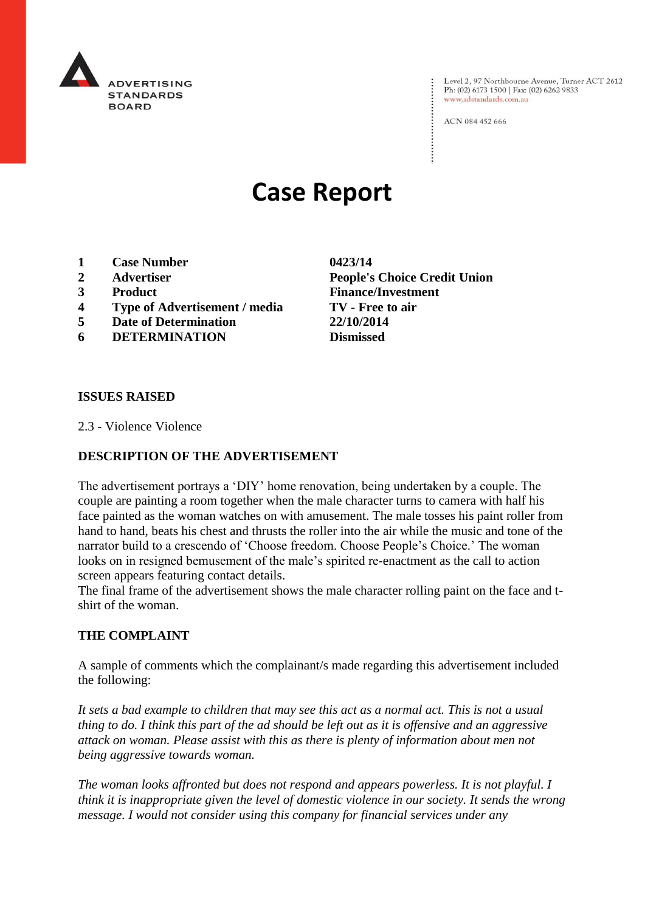

Level 2, 97 Northbourne Avenue, Turner ACT 2612 Ph: (02) 6173 1500 | Fax: (02) 6262 9833 www.adstandards.com.au

ACN 084 452 666

# **Case Report**

- **1 Case Number 0423/14**
- 
- 
- **4 Type of Advertisement / media TV - Free to air**
- **5 Date of Determination 22/10/2014**
- **6 DETERMINATION Dismissed**

**2 Advertiser People's Choice Credit Union 3 Product Finance/Investment**

#### **ISSUES RAISED**

2.3 - Violence Violence

### **DESCRIPTION OF THE ADVERTISEMENT**

The advertisement portrays a 'DIY' home renovation, being undertaken by a couple. The couple are painting a room together when the male character turns to camera with half his face painted as the woman watches on with amusement. The male tosses his paint roller from hand to hand, beats his chest and thrusts the roller into the air while the music and tone of the narrator build to a crescendo of 'Choose freedom. Choose People's Choice.' The woman looks on in resigned bemusement of the male's spirited re-enactment as the call to action screen appears featuring contact details.

The final frame of the advertisement shows the male character rolling paint on the face and tshirt of the woman.

#### **THE COMPLAINT**

A sample of comments which the complainant/s made regarding this advertisement included the following:

*It sets a bad example to children that may see this act as a normal act. This is not a usual thing to do. I think this part of the ad should be left out as it is offensive and an aggressive attack on woman. Please assist with this as there is plenty of information about men not being aggressive towards woman.*

*The woman looks affronted but does not respond and appears powerless. It is not playful. I think it is inappropriate given the level of domestic violence in our society. It sends the wrong message. I would not consider using this company for financial services under any*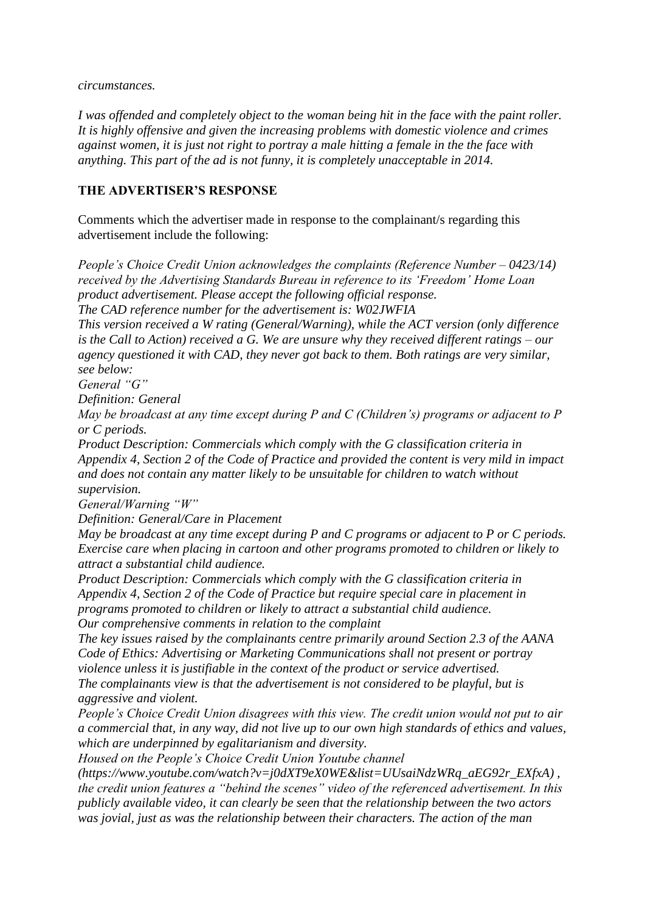*circumstances.*

*I was offended and completely object to the woman being hit in the face with the paint roller. It is highly offensive and given the increasing problems with domestic violence and crimes against women, it is just not right to portray a male hitting a female in the the face with anything. This part of the ad is not funny, it is completely unacceptable in 2014.*

## **THE ADVERTISER'S RESPONSE**

Comments which the advertiser made in response to the complainant/s regarding this advertisement include the following:

*People's Choice Credit Union acknowledges the complaints (Reference Number – 0423/14) received by the Advertising Standards Bureau in reference to its 'Freedom' Home Loan product advertisement. Please accept the following official response.*

*The CAD reference number for the advertisement is: W02JWFIA*

*This version received a W rating (General/Warning), while the ACT version (only difference is the Call to Action) received a G. We are unsure why they received different ratings – our agency questioned it with CAD, they never got back to them. Both ratings are very similar, see below:*

*General "G"*

*Definition: General*

*May be broadcast at any time except during P and C (Children's) programs or adjacent to P or C periods.*

*Product Description: Commercials which comply with the G classification criteria in Appendix 4, Section 2 of the Code of Practice and provided the content is very mild in impact and does not contain any matter likely to be unsuitable for children to watch without supervision.*

*General/Warning "W"*

*Definition: General/Care in Placement*

*May be broadcast at any time except during P and C programs or adjacent to P or C periods. Exercise care when placing in cartoon and other programs promoted to children or likely to attract a substantial child audience.*

*Product Description: Commercials which comply with the G classification criteria in Appendix 4, Section 2 of the Code of Practice but require special care in placement in programs promoted to children or likely to attract a substantial child audience. Our comprehensive comments in relation to the complaint*

*The key issues raised by the complainants centre primarily around Section 2.3 of the AANA Code of Ethics: Advertising or Marketing Communications shall not present or portray violence unless it is justifiable in the context of the product or service advertised. The complainants view is that the advertisement is not considered to be playful, but is aggressive and violent.*

*People's Choice Credit Union disagrees with this view. The credit union would not put to air a commercial that, in any way, did not live up to our own high standards of ethics and values, which are underpinned by egalitarianism and diversity.*

*Housed on the People's Choice Credit Union Youtube channel* 

*(https://www.youtube.com/watch?v=j0dXT9eX0WE&list=UUsaiNdzWRq\_aEG92r\_EXfxA) , the credit union features a "behind the scenes" video of the referenced advertisement. In this publicly available video, it can clearly be seen that the relationship between the two actors was jovial, just as was the relationship between their characters. The action of the man*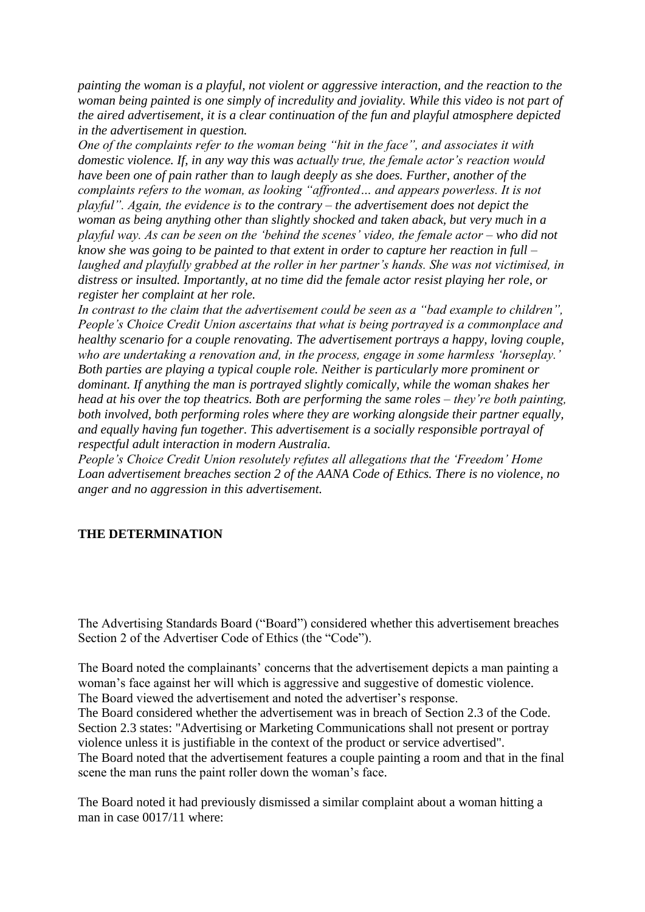*painting the woman is a playful, not violent or aggressive interaction, and the reaction to the woman being painted is one simply of incredulity and joviality. While this video is not part of the aired advertisement, it is a clear continuation of the fun and playful atmosphere depicted in the advertisement in question.*

*One of the complaints refer to the woman being "hit in the face", and associates it with domestic violence. If, in any way this was actually true, the female actor's reaction would have been one of pain rather than to laugh deeply as she does. Further, another of the complaints refers to the woman, as looking "affronted… and appears powerless. It is not playful". Again, the evidence is to the contrary – the advertisement does not depict the woman as being anything other than slightly shocked and taken aback, but very much in a playful way. As can be seen on the 'behind the scenes' video, the female actor – who did not know she was going to be painted to that extent in order to capture her reaction in full – laughed and playfully grabbed at the roller in her partner's hands. She was not victimised, in distress or insulted. Importantly, at no time did the female actor resist playing her role, or register her complaint at her role.*

*In contrast to the claim that the advertisement could be seen as a "bad example to children", People's Choice Credit Union ascertains that what is being portrayed is a commonplace and healthy scenario for a couple renovating. The advertisement portrays a happy, loving couple, who are undertaking a renovation and, in the process, engage in some harmless 'horseplay.' Both parties are playing a typical couple role. Neither is particularly more prominent or dominant. If anything the man is portrayed slightly comically, while the woman shakes her head at his over the top theatrics. Both are performing the same roles – they're both painting, both involved, both performing roles where they are working alongside their partner equally, and equally having fun together. This advertisement is a socially responsible portrayal of respectful adult interaction in modern Australia.*

*People's Choice Credit Union resolutely refutes all allegations that the 'Freedom' Home Loan advertisement breaches section 2 of the AANA Code of Ethics. There is no violence, no anger and no aggression in this advertisement.*

#### **THE DETERMINATION**

The Advertising Standards Board ("Board") considered whether this advertisement breaches Section 2 of the Advertiser Code of Ethics (the "Code").

The Board noted the complainants' concerns that the advertisement depicts a man painting a woman's face against her will which is aggressive and suggestive of domestic violence. The Board viewed the advertisement and noted the advertiser's response.

The Board considered whether the advertisement was in breach of Section 2.3 of the Code. Section 2.3 states: "Advertising or Marketing Communications shall not present or portray violence unless it is justifiable in the context of the product or service advertised". The Board noted that the advertisement features a couple painting a room and that in the final scene the man runs the paint roller down the woman's face.

The Board noted it had previously dismissed a similar complaint about a woman hitting a man in case 0017/11 where: